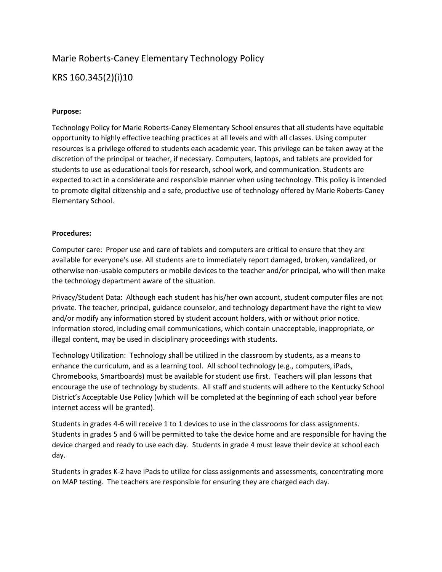# Marie Roberts-Caney Elementary Technology Policy

KRS 160.345(2)(i)10

# **Purpose:**

Technology Policy for Marie Roberts-Caney Elementary School ensures that all students have equitable opportunity to highly effective teaching practices at all levels and with all classes. Using computer resources is a privilege offered to students each academic year. This privilege can be taken away at the discretion of the principal or teacher, if necessary. Computers, laptops, and tablets are provided for students to use as educational tools for research, school work, and communication. Students are expected to act in a considerate and responsible manner when using technology. This policy is intended to promote digital citizenship and a safe, productive use of technology offered by Marie Roberts-Caney Elementary School.

# **Procedures:**

Computer care: Proper use and care of tablets and computers are critical to ensure that they are available for everyone's use. All students are to immediately report damaged, broken, vandalized, or otherwise non-usable computers or mobile devices to the teacher and/or principal, who will then make the technology department aware of the situation.

Privacy/Student Data: Although each student has his/her own account, student computer files are not private. The teacher, principal, guidance counselor, and technology department have the right to view and/or modify any information stored by student account holders, with or without prior notice. Information stored, including email communications, which contain unacceptable, inappropriate, or illegal content, may be used in disciplinary proceedings with students.

Technology Utilization: Technology shall be utilized in the classroom by students, as a means to enhance the curriculum, and as a learning tool. All school technology (e.g., computers, iPads, Chromebooks, Smartboards) must be available for student use first. Teachers will plan lessons that encourage the use of technology by students. All staff and students will adhere to the Kentucky School District's Acceptable Use Policy (which will be completed at the beginning of each school year before internet access will be granted).

Students in grades 4-6 will receive 1 to 1 devices to use in the classrooms for class assignments. Students in grades 5 and 6 will be permitted to take the device home and are responsible for having the device charged and ready to use each day. Students in grade 4 must leave their device at school each day.

Students in grades K-2 have iPads to utilize for class assignments and assessments, concentrating more on MAP testing. The teachers are responsible for ensuring they are charged each day.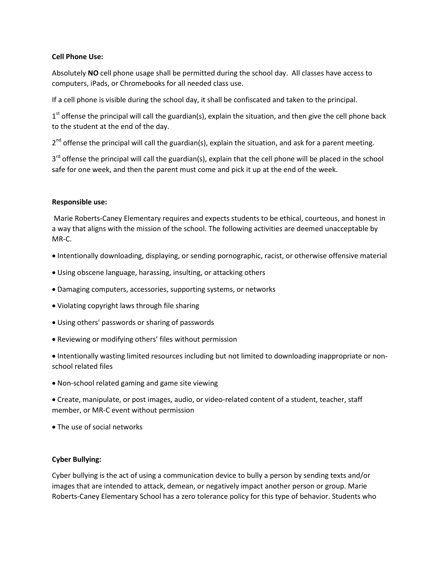# **Cell Phone Use:**

Absolutely **NO** cell phone usage shall be permitted during the school day. All classes have access to computers, iPads, or Chromebooks for all needed class use.

If a cell phone is visible during the school day, it shall be confiscated and taken to the principal.

 $1<sup>st</sup>$  offense the principal will call the guardian(s), explain the situation, and then give the cell phone back to the student at the end of the day.

2<sup>nd</sup> offense the principal will call the guardian(s), explain the situation, and ask for a parent meeting.

3<sup>rd</sup> offense the principal will call the guardian(s), explain that the cell phone will be placed in the school safe for one week, and then the parent must come and pick it up at the end of the week.

# **Responsible use:**

Marie Roberts-Caney Elementary requires and expects students to be ethical, courteous, and honest in a way that aligns with the mission of the school. The following activities are deemed unacceptable by MR-C.

- Intentionally downloading, displaying, or sending pornographic, racist, or otherwise offensive material
- Using obscene language, harassing, insulting, or attacking others
- Damaging computers, accessories, supporting systems, or networks
- Violating copyright laws through file sharing
- Using others' passwords or sharing of passwords
- Reviewing or modifying others' files without permission
- Intentionally wasting limited resources including but not limited to downloading inappropriate or nonschool related files
- Non-school related gaming and game site viewing
- Create, manipulate, or post images, audio, or video-related content of a student, teacher, staff member, or MR-C event without permission
- The use of social networks

# **Cyber Bullying:**

Cyber bullying is the act of using a communication device to bully a person by sending texts and/or images that are intended to attack, demean, or negatively impact another person or group. Marie Roberts-Caney Elementary School has a zero tolerance policy for this type of behavior. Students who